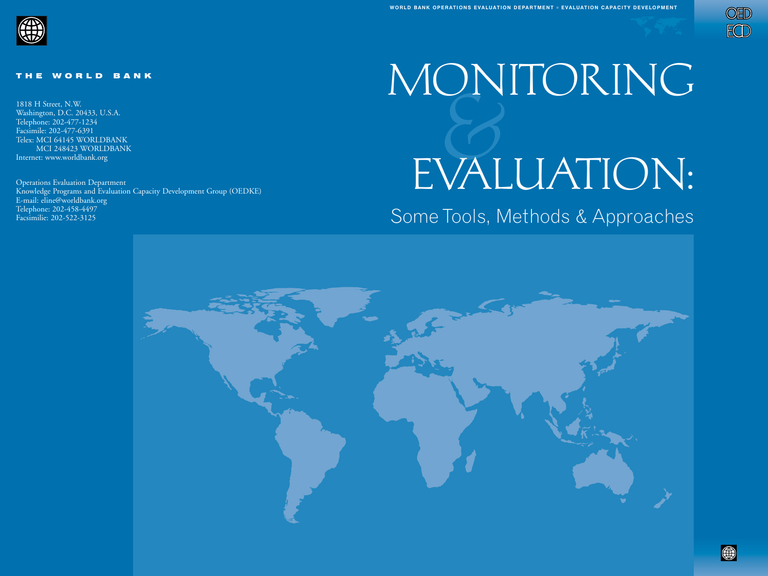



#### THE WORLD BANK

1818 H Street, N.W. Washington, D.C. 20433, U.S.A. Telephone: 202-477-1234 Facsimile: 202-477-6391 Telex: MCI 64145 WORLDBANK MCI 248423 WORLDBANK Internet: www.worldbank.org

Operations Evaluation Department Knowledge Programs and Evaluation Capacity Development Group (OEDKE) E-mail: eline@worldbank.org Telephone: 202-458-4497 Facsimilie: 202-522-3125

# &MONITORING EVALUATION:

# Some Tools, Methods & Approaches

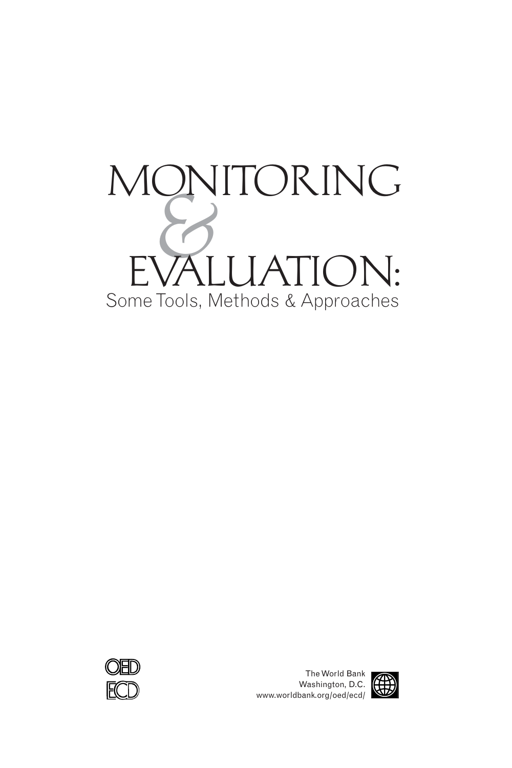# Some Tools, Methods & Approaches **MON** ITORING EVALUATION:



The World Bank Washington, D.C. www.worldbank.org/oed/ecd/

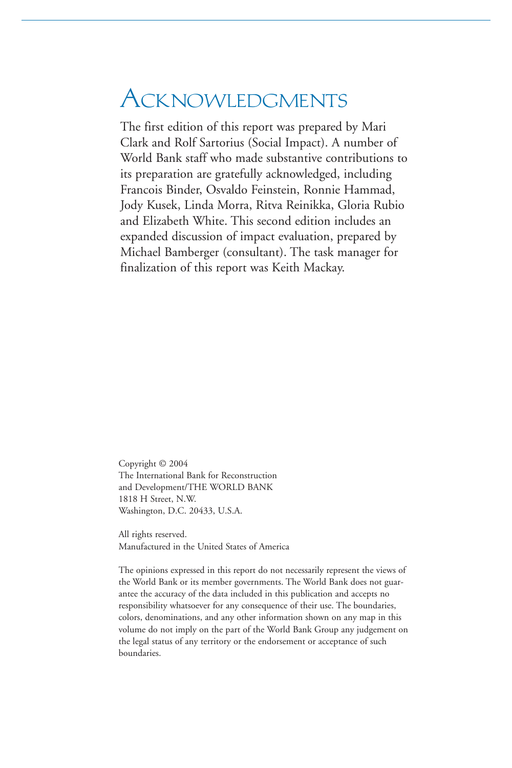# **ACKNOWLEDGMENTS**

The first edition of this report was prepared by Mari Clark and Rolf Sartorius (Social Impact). A number of World Bank staff who made substantive contributions to its preparation are gratefully acknowledged, including Francois Binder, Osvaldo Feinstein, Ronnie Hammad, Jody Kusek, Linda Morra, Ritva Reinikka, Gloria Rubio and Elizabeth White. This second edition includes an expanded discussion of impact evaluation, prepared by Michael Bamberger (consultant). The task manager for finalization of this report was Keith Mackay.

Copyright © 2004 The International Bank for Reconstruction and Development/THE WORLD BANK 1818 H Street, N.W. Washington, D.C. 20433, U.S.A.

All rights reserved. Manufactured in the United States of America

The opinions expressed in this report do not necessarily represent the views of the World Bank or its member governments. The World Bank does not guarantee the accuracy of the data included in this publication and accepts no responsibility whatsoever for any consequence of their use. The boundaries, colors, denominations, and any other information shown on any map in this volume do not imply on the part of the World Bank Group any judgement on the legal status of any territory or the endorsement or acceptance of such boundaries.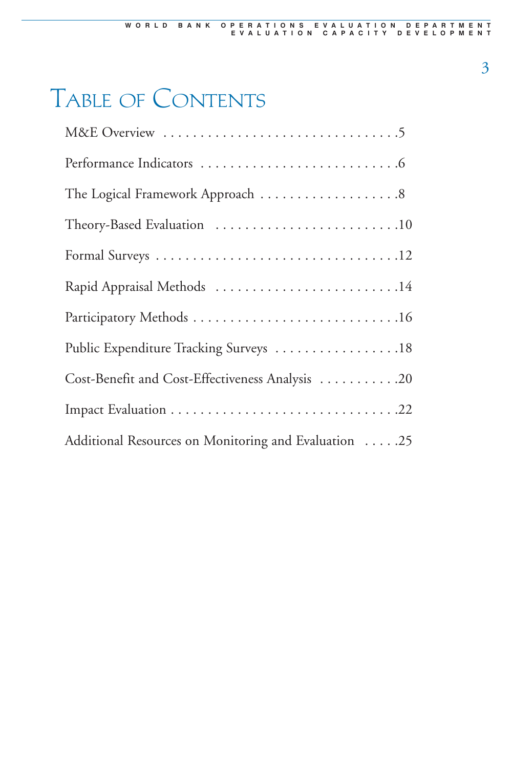# Table of Contents

| Theory-Based Evaluation 10                           |
|------------------------------------------------------|
|                                                      |
| Rapid Appraisal Methods 14                           |
|                                                      |
| Public Expenditure Tracking Surveys 18               |
| Cost-Benefit and Cost-Effectiveness Analysis 20      |
|                                                      |
| Additional Resources on Monitoring and Evaluation 25 |

3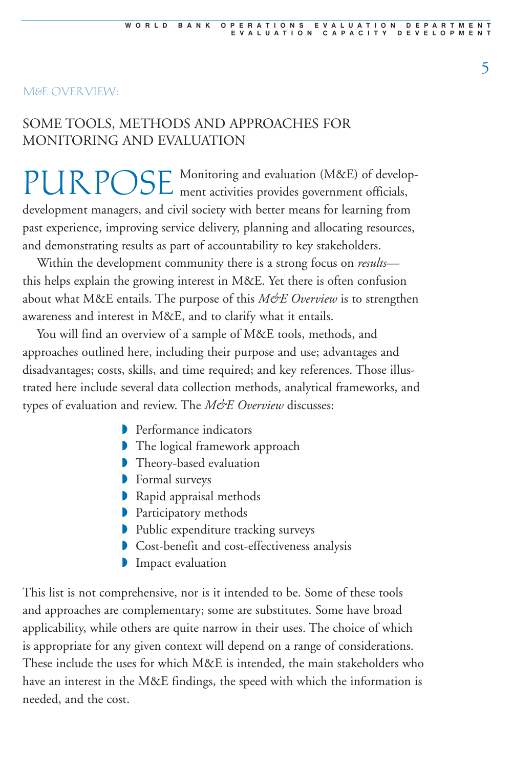#### M&E OVERVIEW:

## SOME TOOLS, METHODS AND APPROACHES FOR MONITORING AND EVALUATION

PURPOSE Monitoring and evaluation (M&E) of develop-<br>ment activities provides government officials, development managers, and civil society with better means for learning from past experience, improving service delivery, planning and allocating resources, and demonstrating results as part of accountability to key stakeholders.

Within the development community there is a strong focus on *results* this helps explain the growing interest in M&E. Yet there is often confusion about what M&E entails. The purpose of this M&E Overview is to strengthen awareness and interest in M&E, and to clarify what it entails.

You will find an overview of a sample of M&E tools, methods, and approaches outlined here, including their purpose and use; advantages and disadvantages; costs, skills, and time required; and key references. Those illustrated here include several data collection methods, analytical frameworks, and types of evaluation and review. The M&E Overview discusses:

- ◗ Performance indicators
- ◗ The logical framework approach
- ◗ Theory-based evaluation
- ◗ Formal surveys
- ◗ Rapid appraisal methods
- **▶ Participatory methods**
- ◗ Public expenditure tracking surveys
- ◗ Cost-benefit and cost-effectiveness analysis
- **Impact evaluation**

This list is not comprehensive, nor is it intended to be. Some of these tools and approaches are complementary; some are substitutes. Some have broad applicability, while others are quite narrow in their uses. The choice of which is appropriate for any given context will depend on a range of considerations. These include the uses for which M&E is intended, the main stakeholders who have an interest in the M&E findings, the speed with which the information is needed, and the cost.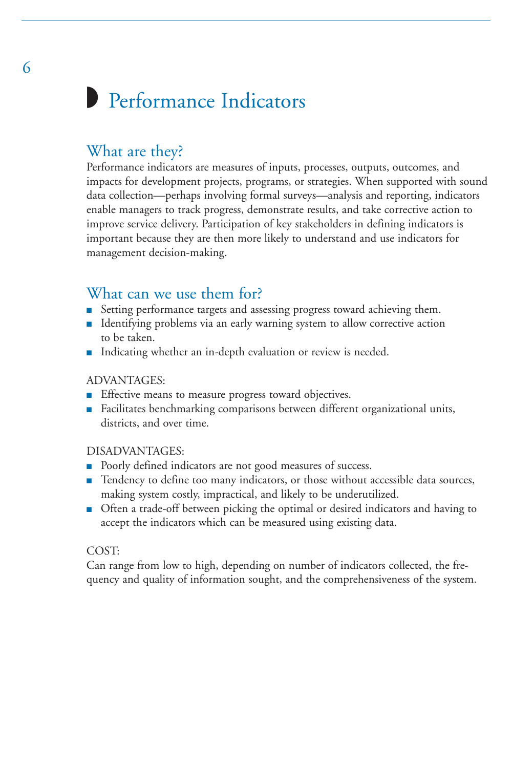# ◗ Performance Indicators

## What are they?

Performance indicators are measures of inputs, processes, outputs, outcomes, and impacts for development projects, programs, or strategies. When supported with sound data collection—perhaps involving formal surveys—analysis and reporting, indicators enable managers to track progress, demonstrate results, and take corrective action to improve service delivery. Participation of key stakeholders in defining indicators is important because they are then more likely to understand and use indicators for management decision-making.

## What can we use them for?

- Setting performance targets and assessing progress toward achieving them.
- Identifying problems via an early warning system to allow corrective action to be taken.
- Indicating whether an in-depth evaluation or review is needed.

#### ADVANTAGES:

- Effective means to measure progress toward objectives.
- Facilitates benchmarking comparisons between different organizational units, districts, and over time.

#### DISADVANTAGES:

- Poorly defined indicators are not good measures of success.
- Tendency to define too many indicators, or those without accessible data sources, making system costly, impractical, and likely to be underutilized.
- Often a trade-off between picking the optimal or desired indicators and having to accept the indicators which can be measured using existing data.

#### COST:

Can range from low to high, depending on number of indicators collected, the frequency and quality of information sought, and the comprehensiveness of the system.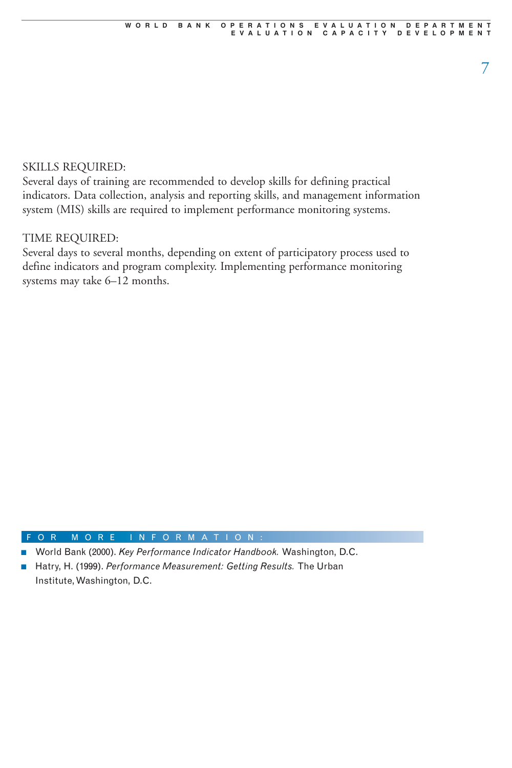#### SKILLS REQUIRED:

Several days of training are recommended to develop skills for defining practical indicators. Data collection, analysis and reporting skills, and management information system (MIS) skills are required to implement performance monitoring systems.

#### TIME REQUIRED:

Several days to several months, depending on extent of participatory process used to define indicators and program complexity. Implementing performance monitoring systems may take 6–12 months.

- World Bank (2000). *Key Performance Indicator Handbook.* Washington, D.C.
- Hatry, H. (1999). *Performance Measurement: Getting Results*. The Urban Institute, Washington, D.C.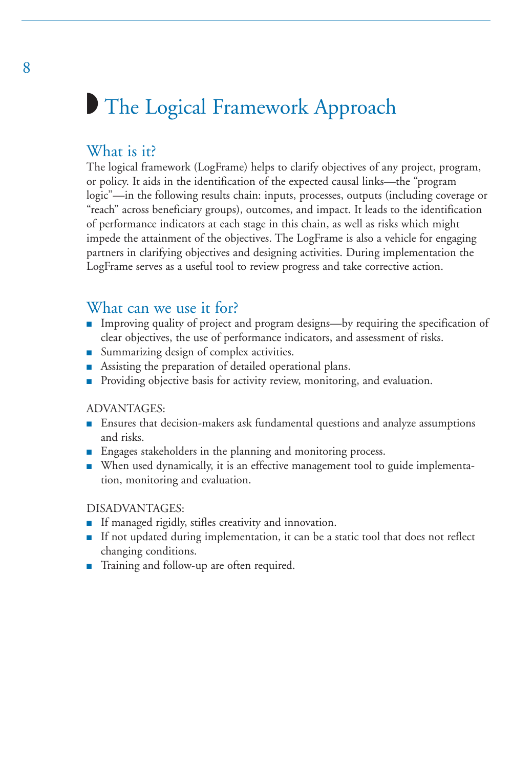# ◗ The Logical Framework Approach

## What is it?

The logical framework (LogFrame) helps to clarify objectives of any project, program, or policy. It aids in the identification of the expected causal links—the "program logic"—in the following results chain: inputs, processes, outputs (including coverage or "reach" across beneficiary groups), outcomes, and impact. It leads to the identification of performance indicators at each stage in this chain, as well as risks which might impede the attainment of the objectives. The LogFrame is also a vehicle for engaging partners in clarifying objectives and designing activities. During implementation the LogFrame serves as a useful tool to review progress and take corrective action.

#### What can we use it for?

- Improving quality of project and program designs—by requiring the specification of clear objectives, the use of performance indicators, and assessment of risks.
- Summarizing design of complex activities.
- Assisting the preparation of detailed operational plans.
- Providing objective basis for activity review, monitoring, and evaluation.

#### ADVANTAGES:

- Ensures that decision-makers ask fundamental questions and analyze assumptions and risks.
- Engages stakeholders in the planning and monitoring process.
- When used dynamically, it is an effective management tool to guide implementation, monitoring and evaluation.

#### DISADVANTAGES:

- If managed rigidly, stifles creativity and innovation.
- If not updated during implementation, it can be a static tool that does not reflect changing conditions.
- Training and follow-up are often required.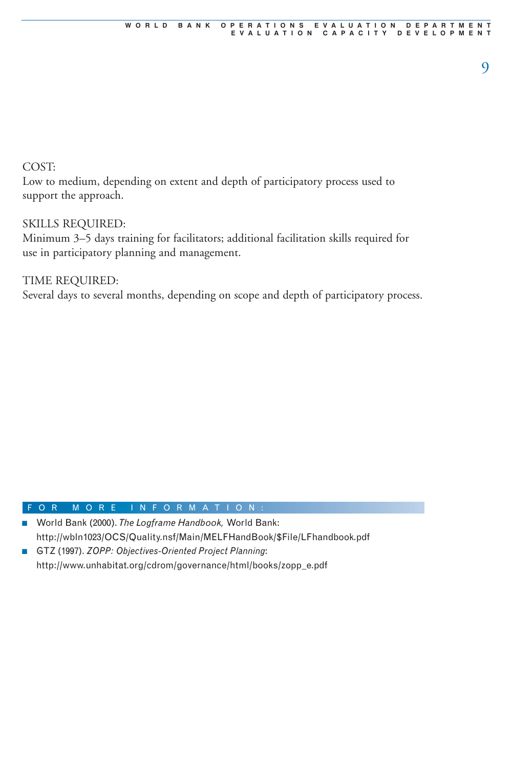#### COST:

Low to medium, depending on extent and depth of participatory process used to support the approach.

#### SKILLS REQUIRED:

Minimum 3–5 days training for facilitators; additional facilitation skills required for use in participatory planning and management.

TIME REQUIRED: Several days to several months, depending on scope and depth of participatory process.

- World Bank (2000). The Logframe Handbook, World Bank: http://wbln1023/OCS/Quality.nsf/Main/MELFHandBook/\$File/LFhandbook.pdf
- GTZ (1997). *ZOPP: Objectives-Oriented Project Planning*: http://www.unhabitat.org/cdrom/governance/html/books/zopp\_e.pdf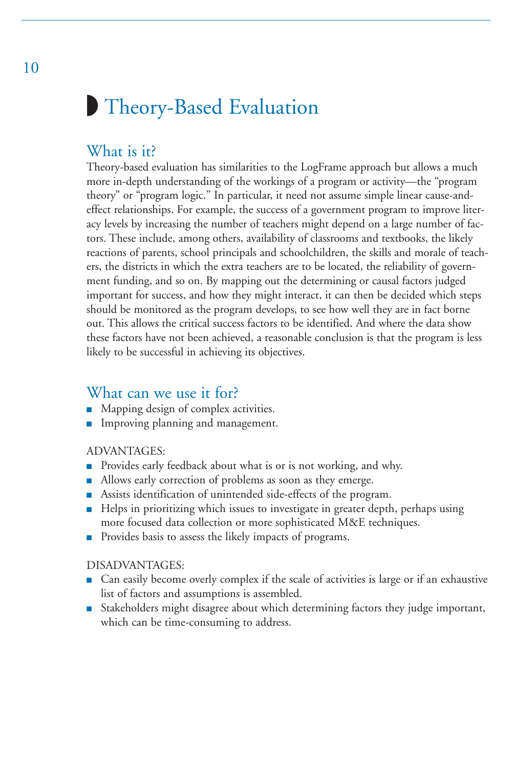# ◗ Theory-Based Evaluation

## What is it?

Theory-based evaluation has similarities to the LogFrame approach but allows a much more in-depth understanding of the workings of a program or activity—the "program theory" or "program logic." In particular, it need not assume simple linear cause-andeffect relationships. For example, the success of a government program to improve literacy levels by increasing the number of teachers might depend on a large number of factors. These include, among others, availability of classrooms and textbooks, the likely reactions of parents, school principals and schoolchildren, the skills and morale of teachers, the districts in which the extra teachers are to be located, the reliability of government funding, and so on. By mapping out the determining or causal factors judged important for success, and how they might interact, it can then be decided which steps should be monitored as the program develops, to see how well they are in fact borne out. This allows the critical success factors to be identified. And where the data show these factors have not been achieved, a reasonable conclusion is that the program is less likely to be successful in achieving its objectives.

### What can we use it for?

- Mapping design of complex activities.
- Improving planning and management.

#### ADVANTAGES:

- Provides early feedback about what is or is not working, and why.
- Allows early correction of problems as soon as they emerge.
- Assists identification of unintended side-effects of the program.
- Helps in prioritizing which issues to investigate in greater depth, perhaps using more focused data collection or more sophisticated M&E techniques.
- Provides basis to assess the likely impacts of programs.

#### DISADVANTAGES:

- Can easily become overly complex if the scale of activities is large or if an exhaustive list of factors and assumptions is assembled.
- Stakeholders might disagree about which determining factors they judge important, which can be time-consuming to address.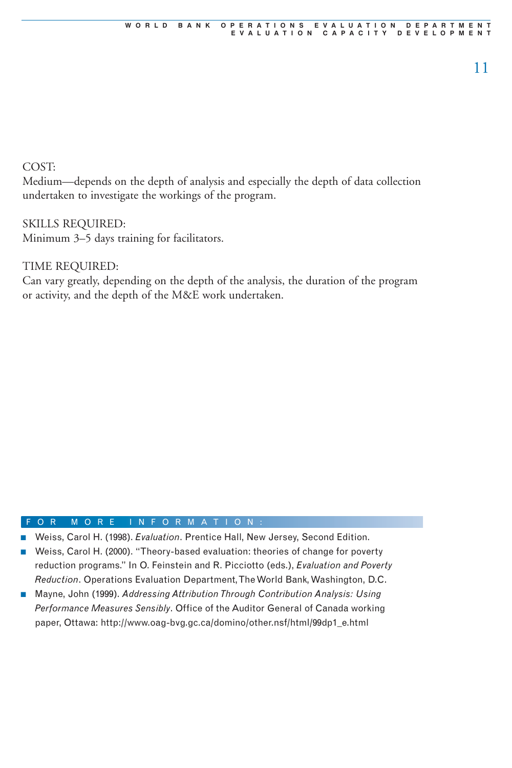#### COST:

Medium—depends on the depth of analysis and especially the depth of data collection undertaken to investigate the workings of the program.

#### SKILLS REQUIRED:

Minimum 3–5 days training for facilitators.

#### TIME REQUIRED:

Can vary greatly, depending on the depth of the analysis, the duration of the program or activity, and the depth of the M&E work undertaken.

- Weiss, Carol H. (1998). *Evaluation*. Prentice Hall, New Jersey, Second Edition.
- Weiss, Carol H. (2000). "Theory-based evaluation: theories of change for poverty reduction programs." In O. Feinstein and R. Picciotto (eds.), *Evaluation and Poverty Reduction*. Operations Evaluation Department, The World Bank, Washington, D.C.
- Mayne, John (1999). *Addressing Attribution Through Contribution Analysis: Using Performance Measures Sensibly*. Office of the Auditor General of Canada working paper, Ottawa: http://www.oag-bvg.gc.ca/domino/other.nsf/html/99dp1\_e.html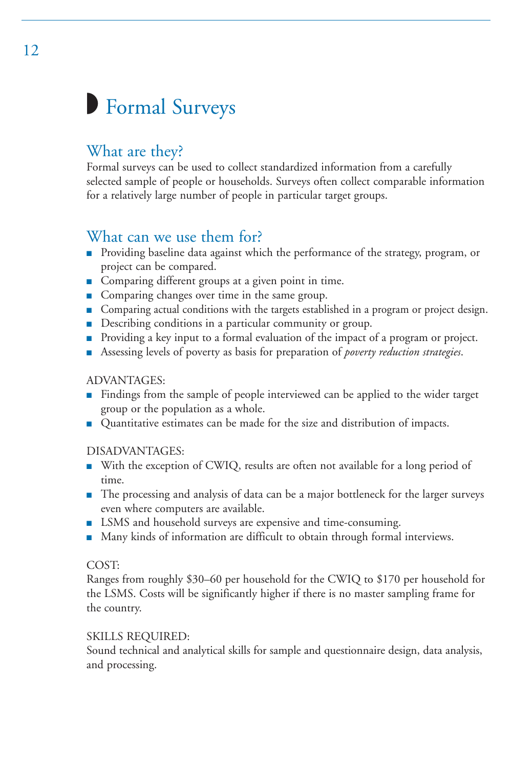# ◗ Formal Surveys

# What are they?

Formal surveys can be used to collect standardized information from a carefully selected sample of people or households. Surveys often collect comparable information for a relatively large number of people in particular target groups.

## What can we use them for?

- Providing baseline data against which the performance of the strategy, program, or project can be compared.
- Comparing different groups at a given point in time.
- Comparing changes over time in the same group.
- Comparing actual conditions with the targets established in a program or project design.
- Describing conditions in a particular community or group.
- Providing a key input to a formal evaluation of the impact of a program or project.
- Assessing levels of poverty as basis for preparation of *poverty reduction strategies*.

#### ADVANTAGES:

- Findings from the sample of people interviewed can be applied to the wider target group or the population as a whole.
- Quantitative estimates can be made for the size and distribution of impacts.

#### DISADVANTAGES:

- With the exception of CWIQ, results are often not available for a long period of time.
- The processing and analysis of data can be a major bottleneck for the larger surveys even where computers are available.
- LSMS and household surveys are expensive and time-consuming.
- Many kinds of information are difficult to obtain through formal interviews.

#### COST:

Ranges from roughly \$30–60 per household for the CWIQ to \$170 per household for the LSMS. Costs will be significantly higher if there is no master sampling frame for the country.

#### SKILLS REQUIRED:

Sound technical and analytical skills for sample and questionnaire design, data analysis, and processing.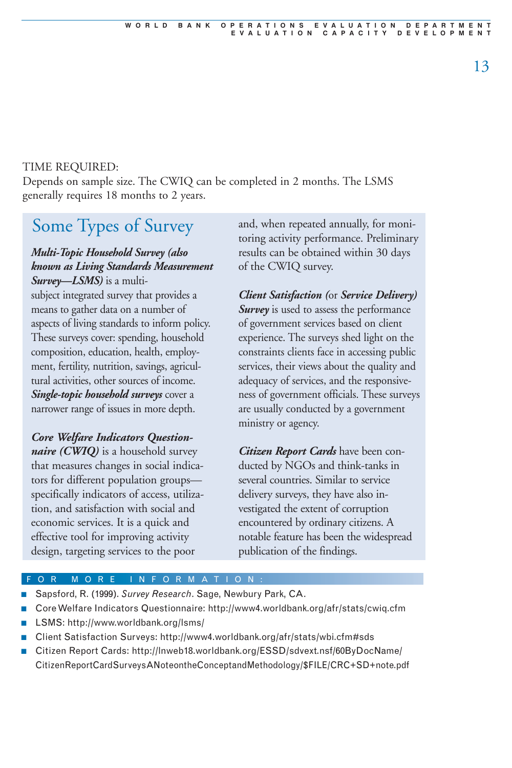#### TIME REQUIRED:

Depends on sample size. The CWIQ can be completed in 2 months. The LSMS generally requires 18 months to 2 years.

# Some Types of Survey

#### *Multi-Topic Household Survey (also known as Living Standards Measurement Survey—LSMS)* is a multi-

subject integrated survey that provides a means to gather data on a number of aspects of living standards to inform policy. These surveys cover: spending, household composition, education, health, employment, fertility, nutrition, savings, agricultural activities, other sources of income. *Single-topic household surveys* cover a narrower range of issues in more depth.

#### *Core Welfare Indicators Questionnaire (CWIQ)* is a household survey that measures changes in social indicators for different population groups specifically indicators of access, utilization, and satisfaction with social and economic services. It is a quick and effective tool for improving activity design, targeting services to the poor

and, when repeated annually, for monitoring activity performance. Preliminary results can be obtained within 30 days of the CWIQ survey.

*Client Satisfaction (*or *Service Delivery)* **Survey** is used to assess the performance of government services based on client experience. The surveys shed light on the constraints clients face in accessing public services, their views about the quality and adequacy of services, and the responsiveness of government officials. These surveys are usually conducted by a government ministry or agency.

*Citizen Report Cards* have been conducted by NGOs and think-tanks in several countries. Similar to service delivery surveys, they have also investigated the extent of corruption encountered by ordinary citizens. A notable feature has been the widespread publication of the findings.

- Sapsford, R. (1999). *Survey Research*. Sage, Newbury Park, CA.
- Core Welfare Indicators Questionnaire: http://www4.worldbank.org/afr/stats/cwiq.cfm
- LSMS: http://www.worldbank.org/lsms/
- Client Satisfaction Surveys: http://www4.worldbank.org/afr/stats/wbi.cfm#sds
- Citizen Report Cards: http://Inweb18.worldbank.org/ESSD/sdvext.nsf/60ByDocName/ CitizenReportCardSurveysANoteontheConceptandMethodology/\$FILE/CRC+SD+note.pdf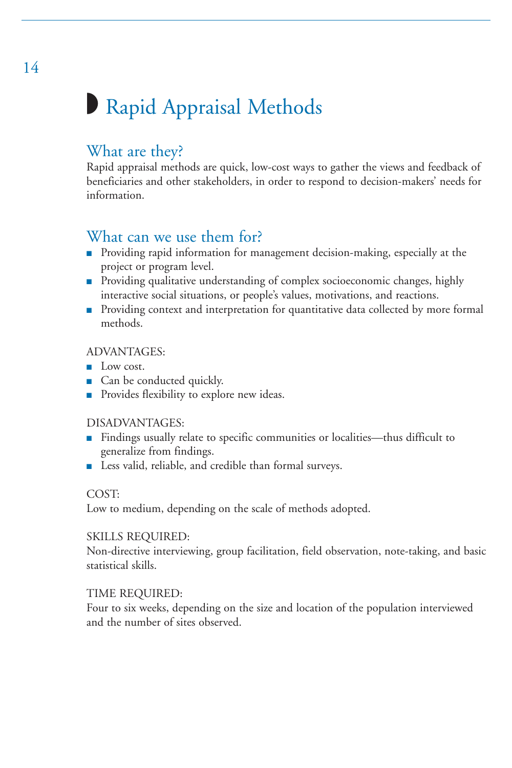# ◗ Rapid Appraisal Methods

## What are they?

Rapid appraisal methods are quick, low-cost ways to gather the views and feedback of beneficiaries and other stakeholders, in order to respond to decision-makers' needs for information.

## What can we use them for?

- Providing rapid information for management decision-making, especially at the project or program level.
- Providing qualitative understanding of complex socioeconomic changes, highly interactive social situations, or people's values, motivations, and reactions.
- Providing context and interpretation for quantitative data collected by more formal methods.

#### ADVANTAGES:

- Low cost.
- Can be conducted quickly.
- Provides flexibility to explore new ideas.

#### DISADVANTAGES:

- Findings usually relate to specific communities or localities—thus difficult to generalize from findings.
- Less valid, reliable, and credible than formal surveys.

#### COST:

Low to medium, depending on the scale of methods adopted.

#### SKILLS REQUIRED:

Non-directive interviewing, group facilitation, field observation, note-taking, and basic statistical skills.

#### TIME REQUIRED:

Four to six weeks, depending on the size and location of the population interviewed and the number of sites observed.

14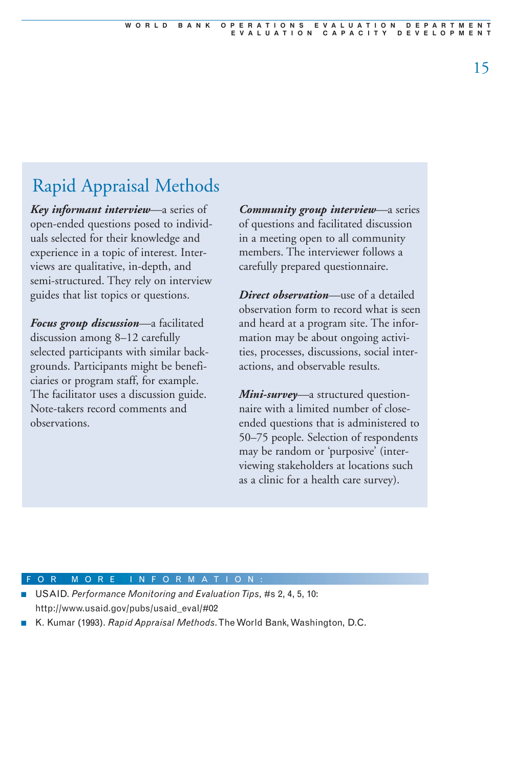# Rapid Appraisal Methods

*Key informant interview—*a series of open-ended questions posed to individuals selected for their knowledge and experience in a topic of interest. Interviews are qualitative, in-depth, and semi-structured. They rely on interview guides that list topics or questions.

*Focus group discussion—*a facilitated discussion among 8–12 carefully selected participants with similar backgrounds. Participants might be beneficiaries or program staff, for example. The facilitator uses a discussion guide. Note-takers record comments and observations.

*Community group interview—*a series of questions and facilitated discussion in a meeting open to all community members. The interviewer follows a carefully prepared questionnaire.

*Direct observation—*use of a detailed observation form to record what is seen and heard at a program site. The information may be about ongoing activities, processes, discussions, social interactions, and observable results.

*Mini-survey—*a structured questionnaire with a limited number of closeended questions that is administered to 50–75 people. Selection of respondents may be random or 'purposive' (interviewing stakeholders at locations such as a clinic for a health care survey).

#### F O R M O R E I N F O R M A T I O

USAID. Performance Monitoring and Evaluation Tips, #s 2, 4, 5, 10: http://www.usaid.gov/pubs/usaid\_eval/#02

■ K. Kumar (1993). *Rapid Appraisal Methods*. The World Bank, Washington, D.C.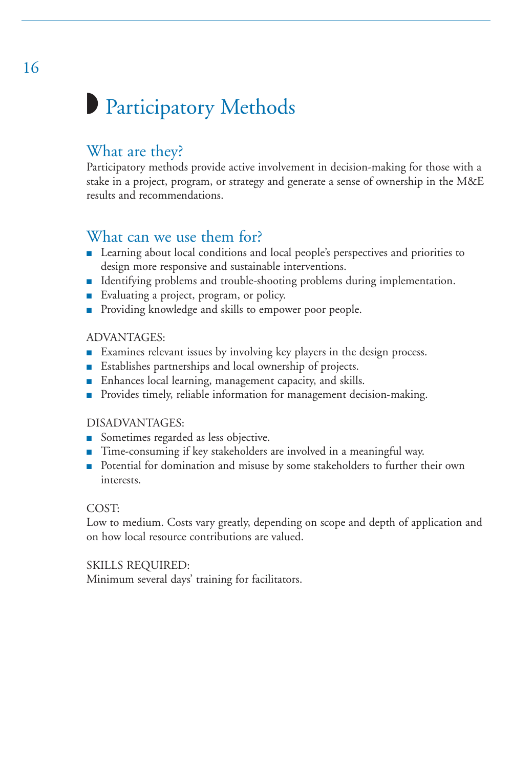# **Participatory Methods**

## What are they?

Participatory methods provide active involvement in decision-making for those with a stake in a project, program, or strategy and generate a sense of ownership in the M&E results and recommendations.

# What can we use them for?

- Learning about local conditions and local people's perspectives and priorities to design more responsive and sustainable interventions.
- Identifying problems and trouble-shooting problems during implementation.
- Evaluating a project, program, or policy.
- Providing knowledge and skills to empower poor people.

#### ADVANTAGES:

- Examines relevant issues by involving key players in the design process.
- Establishes partnerships and local ownership of projects.
- Enhances local learning, management capacity, and skills.
- Provides timely, reliable information for management decision-making.

#### DISADVANTAGES:

- Sometimes regarded as less objective.
- Time-consuming if key stakeholders are involved in a meaningful way.
- Potential for domination and misuse by some stakeholders to further their own interests.

#### COST:

Low to medium. Costs vary greatly, depending on scope and depth of application and on how local resource contributions are valued.

#### SKILLS REQUIRED:

Minimum several days' training for facilitators.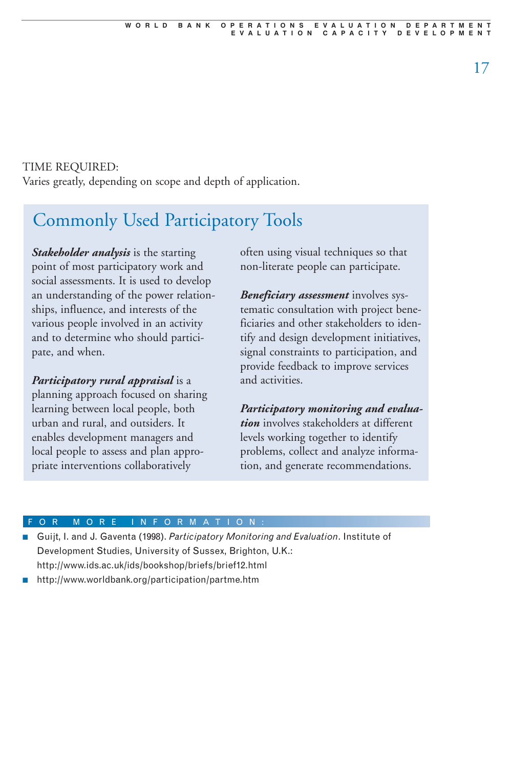#### TIME REQUIRED:

Varies greatly, depending on scope and depth of application.

# Commonly Used Participatory Tools

*Stakeholder analysis* is the starting point of most participatory work and social assessments. It is used to develop an understanding of the power relationships, influence, and interests of the various people involved in an activity and to determine who should participate, and when.

*Participatory rural appraisal* is a

planning approach focused on sharing learning between local people, both urban and rural, and outsiders. It enables development managers and local people to assess and plan appropriate interventions collaboratively

often using visual techniques so that non-literate people can participate.

*Beneficiary assessment* involves systematic consultation with project beneficiaries and other stakeholders to identify and design development initiatives, signal constraints to participation, and provide feedback to improve services and activities.

*Participatory monitoring and evaluation* involves stakeholders at different levels working together to identify problems, collect and analyze information, and generate recommendations.

#### OR MORE INFORMATION

- Guijt, I. and J. Gaventa (1998). Participatory Monitoring and Evaluation. Institute of Development Studies, University of Sussex, Brighton, U.K.: http://www.ids.ac.uk/ids/bookshop/briefs/brief12.html
- http://www.worldbank.org/participation/partme.htm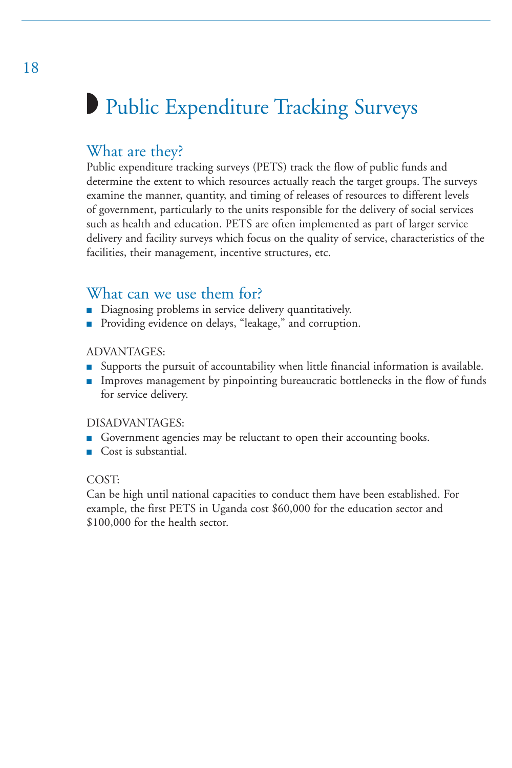# ◗ Public Expenditure Tracking Surveys

## What are they?

Public expenditure tracking surveys (PETS) track the flow of public funds and determine the extent to which resources actually reach the target groups. The surveys examine the manner, quantity, and timing of releases of resources to different levels of government, particularly to the units responsible for the delivery of social services such as health and education. PETS are often implemented as part of larger service delivery and facility surveys which focus on the quality of service, characteristics of the facilities, their management, incentive structures, etc.

## What can we use them for?

- Diagnosing problems in service delivery quantitatively.
- Providing evidence on delays, "leakage," and corruption.

#### ADVANTAGES:

- Supports the pursuit of accountability when little financial information is available.
- Improves management by pinpointing bureaucratic bottlenecks in the flow of funds for service delivery.

#### DISADVANTAGES:

- Government agencies may be reluctant to open their accounting books.
- Cost is substantial.

#### COST:

Can be high until national capacities to conduct them have been established. For example, the first PETS in Uganda cost \$60,000 for the education sector and \$100,000 for the health sector.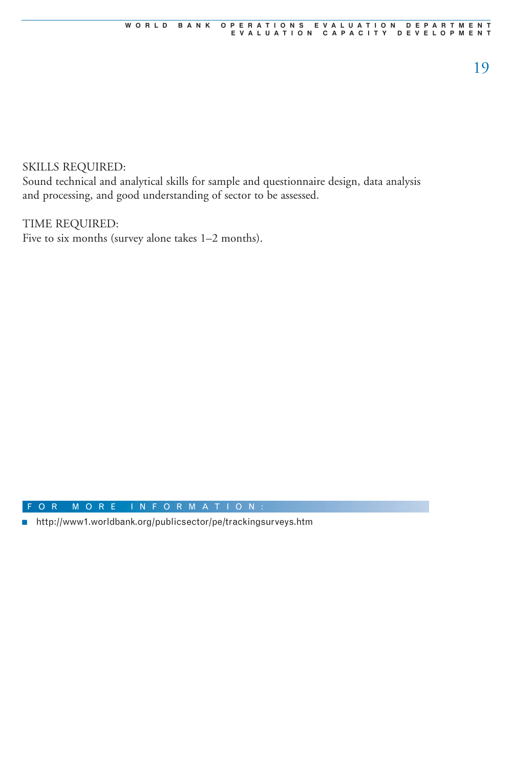#### SKILLS REQUIRED:

Sound technical and analytical skills for sample and questionnaire design, data analysis and processing, and good understanding of sector to be assessed.

#### TIME REQUIRED:

Five to six months (survey alone takes 1–2 months).

#### F O R M O R E I N F O R MAT I O N :

■ http://www1.worldbank.org/publicsector/pe/trackingsurveys.htm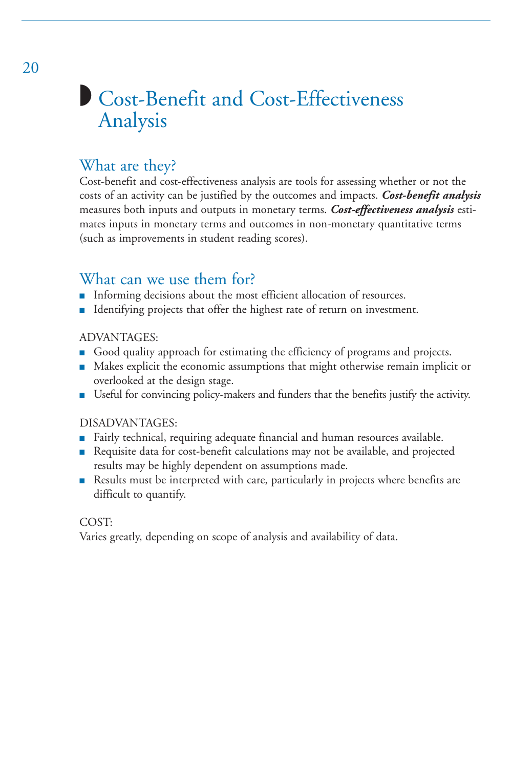# ■ Cost-Benefit and Cost-Effectiveness Analysis

## What are they?

Cost-benefit and cost-effectiveness analysis are tools for assessing whether or not the costs of an activity can be justified by the outcomes and impacts. *Cost-benefit analysis* measures both inputs and outputs in monetary terms. *Cost-effectiveness analysis* estimates inputs in monetary terms and outcomes in non-monetary quantitative terms (such as improvements in student reading scores).

## What can we use them for?

- Informing decisions about the most efficient allocation of resources.
- Identifying projects that offer the highest rate of return on investment.

#### ADVANTAGES:

- Good quality approach for estimating the efficiency of programs and projects.
- Makes explicit the economic assumptions that might otherwise remain implicit or overlooked at the design stage.
- Useful for convincing policy-makers and funders that the benefits justify the activity.

#### DISADVANTAGES:

- Fairly technical, requiring adequate financial and human resources available.
- Requisite data for cost-benefit calculations may not be available, and projected results may be highly dependent on assumptions made.
- Results must be interpreted with care, particularly in projects where benefits are difficult to quantify.

#### COST:

Varies greatly, depending on scope of analysis and availability of data.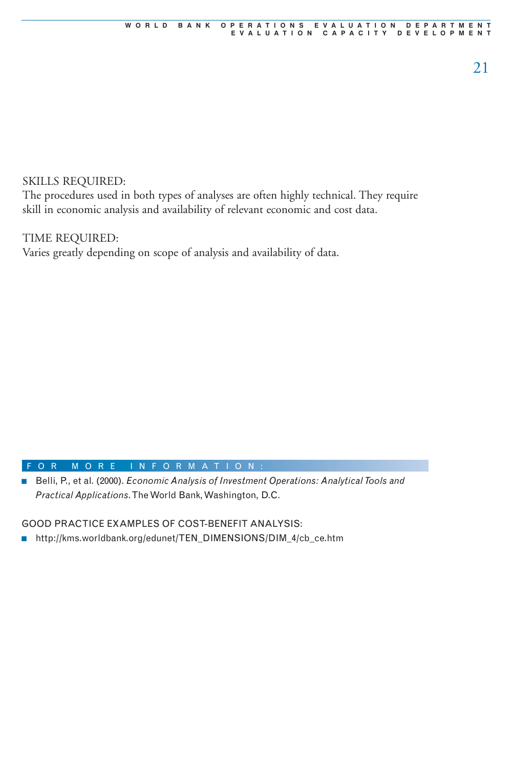#### SKILLS REQUIRED:

The procedures used in both types of analyses are often highly technical. They require skill in economic analysis and availability of relevant economic and cost data.

#### TIME REQUIRED:

Varies greatly depending on scope of analysis and availability of data.

#### F O R M O R E I N F O R MAT I O N :

■ Belli, P., et al. (2000). *Economic Analysis of Investment Operations: Analytical Tools and Practical Applications*. The World Bank, Washington, D.C.

GOOD PRACTICE EXAMPLES OF COST-BENEFIT ANALYSIS:

■ http://kms.worldbank.org/edunet/TEN\_DIMENSIONS/DIM\_4/cb\_ce.htm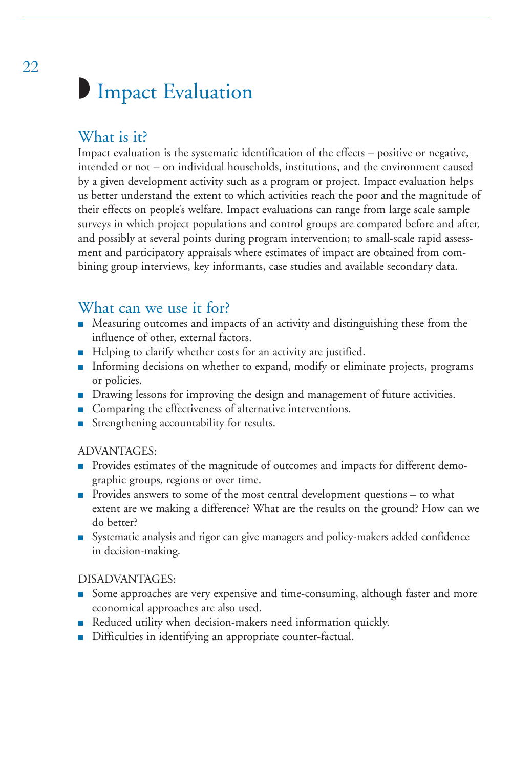# **Impact Evaluation**

# What is it?

Impact evaluation is the systematic identification of the effects – positive or negative, intended or not – on individual households, institutions, and the environment caused by a given development activity such as a program or project. Impact evaluation helps us better understand the extent to which activities reach the poor and the magnitude of their effects on people's welfare. Impact evaluations can range from large scale sample surveys in which project populations and control groups are compared before and after, and possibly at several points during program intervention; to small-scale rapid assessment and participatory appraisals where estimates of impact are obtained from combining group interviews, key informants, case studies and available secondary data.

## What can we use it for?

- Measuring outcomes and impacts of an activity and distinguishing these from the influence of other, external factors.
- Helping to clarify whether costs for an activity are justified.
- Informing decisions on whether to expand, modify or eliminate projects, programs or policies.
- Drawing lessons for improving the design and management of future activities.
- Comparing the effectiveness of alternative interventions.
- Strengthening accountability for results.

#### ADVANTAGES:

- Provides estimates of the magnitude of outcomes and impacts for different demographic groups, regions or over time.
- Provides answers to some of the most central development questions to what extent are we making a difference? What are the results on the ground? How can we do better?
- Systematic analysis and rigor can give managers and policy-makers added confidence in decision-making.

#### DISADVANTAGES:

- Some approaches are very expensive and time-consuming, although faster and more economical approaches are also used.
- Reduced utility when decision-makers need information quickly.
- Difficulties in identifying an appropriate counter-factual.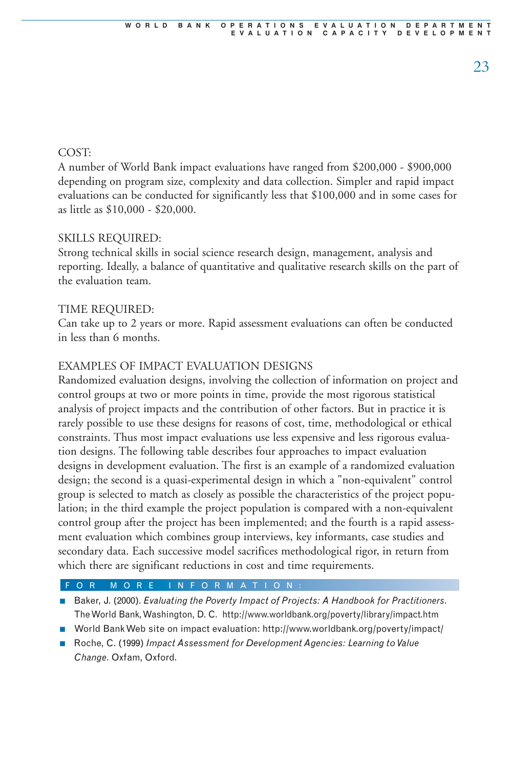#### COST:

A number of World Bank impact evaluations have ranged from \$200,000 - \$900,000 depending on program size, complexity and data collection. Simpler and rapid impact evaluations can be conducted for significantly less that \$100,000 and in some cases for as little as \$10,000 - \$20,000.

#### SKILLS REQUIRED:

Strong technical skills in social science research design, management, analysis and reporting. Ideally, a balance of quantitative and qualitative research skills on the part of the evaluation team.

#### TIME REQUIRED:

Can take up to 2 years or more. Rapid assessment evaluations can often be conducted in less than 6 months.

#### EXAMPLES OF IMPACT EVALUATION DESIGNS

Randomized evaluation designs, involving the collection of information on project and control groups at two or more points in time, provide the most rigorous statistical analysis of project impacts and the contribution of other factors. But in practice it is rarely possible to use these designs for reasons of cost, time, methodological or ethical constraints. Thus most impact evaluations use less expensive and less rigorous evaluation designs. The following table describes four approaches to impact evaluation designs in development evaluation. The first is an example of a randomized evaluation design; the second is a quasi-experimental design in which a "non-equivalent" control group is selected to match as closely as possible the characteristics of the project population; in the third example the project population is compared with a non-equivalent control group after the project has been implemented; and the fourth is a rapid assessment evaluation which combines group interviews, key informants, case studies and secondary data. Each successive model sacrifices methodological rigor, in return from which there are significant reductions in cost and time requirements.

- Baker, J. (2000). *Evaluating the Poverty Impact of Projects: A Handbook for Practitioners*. The World Bank, Washington, D. C. http://www.worldbank.org/poverty/library/impact.htm
- World Bank Web site on impact evaluation: http://www.worldbank.org/poverty/impact/
- Roche, C. (1999) *Impact Assessment for Development Agencies: Learning to Value Change*. Oxfam, Oxford.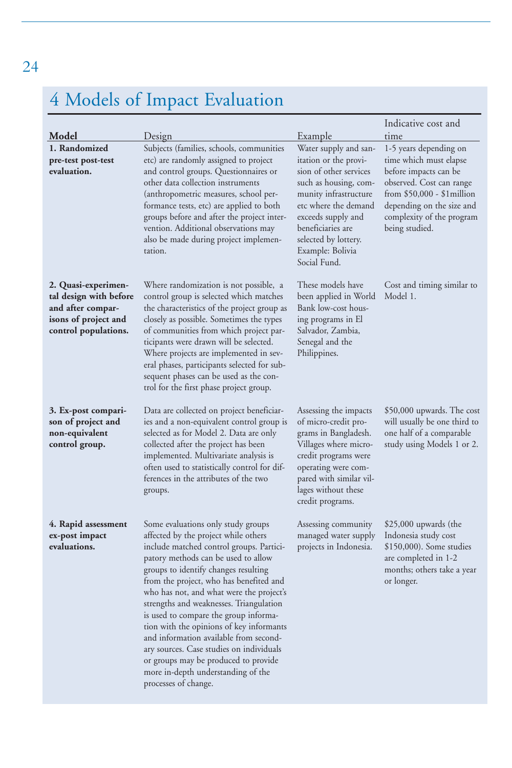# 4 Models of Impact Evaluation

|                                                                                                                    |                                                                                                                                                                                                                                                                                                                                                                                                                                                                                                                                                                                                                          |                                                                                                                                                                                                                                                                             | Indicative cost and                                                                                                                                                                                                     |
|--------------------------------------------------------------------------------------------------------------------|--------------------------------------------------------------------------------------------------------------------------------------------------------------------------------------------------------------------------------------------------------------------------------------------------------------------------------------------------------------------------------------------------------------------------------------------------------------------------------------------------------------------------------------------------------------------------------------------------------------------------|-----------------------------------------------------------------------------------------------------------------------------------------------------------------------------------------------------------------------------------------------------------------------------|-------------------------------------------------------------------------------------------------------------------------------------------------------------------------------------------------------------------------|
| Model<br>1. Randomized<br>pre-test post-test<br>evaluation.                                                        | Design<br>Subjects (families, schools, communities<br>etc) are randomly assigned to project<br>and control groups. Questionnaires or<br>other data collection instruments<br>(anthropometric measures, school per-<br>formance tests, etc) are applied to both<br>groups before and after the project inter-<br>vention. Additional observations may<br>also be made during project implemen-<br>tation.                                                                                                                                                                                                                 | <u>Example</u><br>Water supply and san-<br>itation or the provi-<br>sion of other services<br>such as housing, com-<br>munity infrastructure<br>etc where the demand<br>exceeds supply and<br>beneficiaries are<br>selected by lottery.<br>Example: Bolivia<br>Social Fund. | time<br>1-5 years depending on<br>time which must elapse<br>before impacts can be<br>observed. Cost can range<br>from \$50,000 - \$1million<br>depending on the size and<br>complexity of the program<br>being studied. |
| 2. Quasi-experimen-<br>tal design with before<br>and after compar-<br>isons of project and<br>control populations. | Where randomization is not possible, a<br>control group is selected which matches<br>the characteristics of the project group as<br>closely as possible. Sometimes the types<br>of communities from which project par-<br>ticipants were drawn will be selected.<br>Where projects are implemented in sev-<br>eral phases, participants selected for sub-<br>sequent phases can be used as the con-<br>trol for the first phase project group.                                                                                                                                                                           | These models have<br>been applied in World<br>Bank low-cost hous-<br>ing programs in El<br>Salvador, Zambia,<br>Senegal and the<br>Philippines.                                                                                                                             | Cost and timing similar to<br>Model 1.                                                                                                                                                                                  |
| 3. Ex-post compari-<br>son of project and<br>non-equivalent<br>control group.                                      | Data are collected on project beneficiar-<br>ies and a non-equivalent control group is<br>selected as for Model 2. Data are only<br>collected after the project has been<br>implemented. Multivariate analysis is<br>often used to statistically control for dif-<br>ferences in the attributes of the two<br>groups.                                                                                                                                                                                                                                                                                                    | Assessing the impacts<br>of micro-credit pro-<br>grams in Bangladesh.<br>Villages where micro-<br>credit programs were<br>operating were com-<br>pared with similar vil-<br>lages without these<br>credit programs.                                                         | \$50,000 upwards. The cost<br>will usually be one third to<br>one half of a comparable<br>study using Models 1 or 2.                                                                                                    |
| 4. Rapid assessment<br>ex-post impact<br>evaluations.                                                              | Some evaluations only study groups<br>affected by the project while others<br>include matched control groups. Partici-<br>patory methods can be used to allow<br>groups to identify changes resulting<br>from the project, who has benefited and<br>who has not, and what were the project's<br>strengths and weaknesses. Triangulation<br>is used to compare the group informa-<br>tion with the opinions of key informants<br>and information available from second-<br>ary sources. Case studies on individuals<br>or groups may be produced to provide<br>more in-depth understanding of the<br>processes of change. | Assessing community<br>managed water supply<br>projects in Indonesia.                                                                                                                                                                                                       | $$25,000$ upwards (the<br>Indonesia study cost<br>\$150,000). Some studies<br>are completed in 1-2<br>months; others take a year<br>or longer.                                                                          |